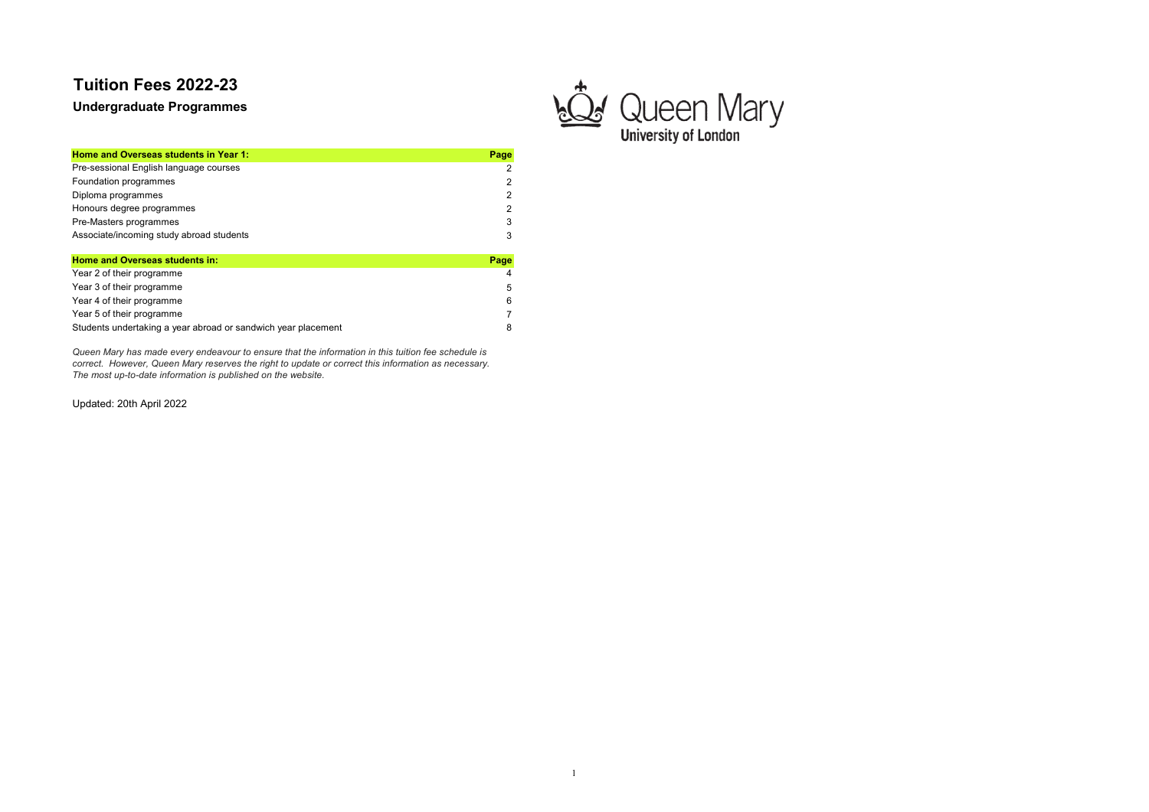Undergraduate Programmes

Home and Overseas students in Year 1: Page 1: Page 1: Page 1: Page 1: Page 1: Page 1: Page 1: Page 1: Page 1: Page 1: Page 1: Page 1: Page 1: Page 1: Page 1: Page 1: Page 1: Page 1: Page 1: Page 1: Page 1: Page 1: Page 1: Pre-sessional English language courses 2 Foundation programmes 2<br>Diploma programmes 2<br>2 Diploma programmes 2 Honours degree programmes 2 Pre-Masters programmes 3 Associate/incoming study abroad students 3 3 Home and Overseas students in: Page

| <u>HUING ANU OVERSEAS SLUUGIKS III.</u>                       | г ачс          |
|---------------------------------------------------------------|----------------|
| Year 2 of their programme                                     | $\overline{4}$ |
| Year 3 of their programme                                     | .5             |
| Year 4 of their programme                                     | 6              |
| Year 5 of their programme                                     |                |
| Students undertaking a year abroad or sandwich year placement | 8              |

Queen Mary has made every endeavour to ensure that the information in this tuition fee schedule is correct. However, Queen Mary reserves the right to update or correct this information as necessary. The most up-to-date information is published on the website.

Updated: 20th April 2022

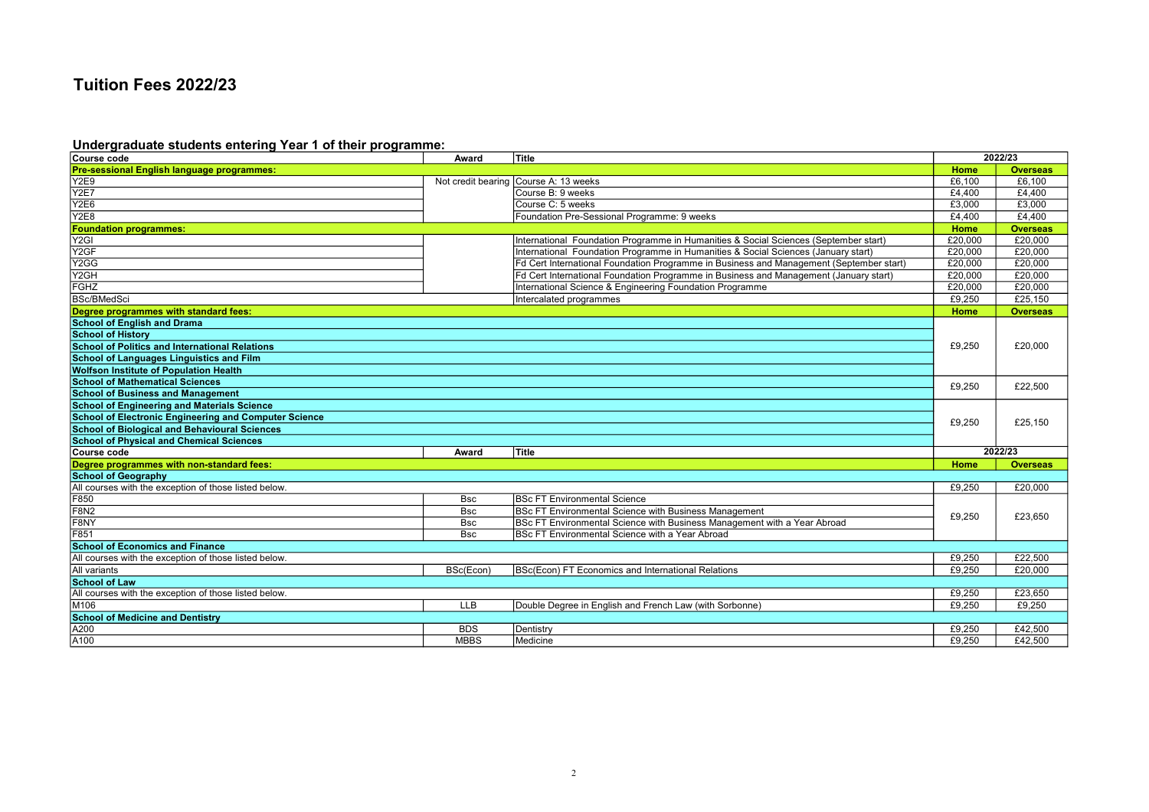#### Undergraduate students entering Year 1 of their programme:

| Course code                                           | Award              | Title                                                                                   |         | 2022/23         |
|-------------------------------------------------------|--------------------|-----------------------------------------------------------------------------------------|---------|-----------------|
| Pre-sessional English language programmes:            |                    |                                                                                         | Home    | <b>Overseas</b> |
| <b>Y2E9</b>                                           | Not credit bearing | Course A: 13 weeks                                                                      | £6,100  | £6.100          |
| Y <sub>2E7</sub>                                      |                    | Course B: 9 weeks                                                                       | £4,400  | £4,400          |
| <b>Y2E6</b>                                           |                    | Course C: 5 weeks                                                                       | £3,000  | £3,000          |
| <b>Y2E8</b>                                           |                    | Foundation Pre-Sessional Programme: 9 weeks                                             | £4,400  | £4,400          |
| <b>Foundation programmes:</b>                         |                    |                                                                                         | Home    | <b>Overseas</b> |
| Y <sub>2GI</sub>                                      |                    | International Foundation Programme in Humanities & Social Sciences (September start)    | £20.000 | £20,000         |
| Y <sub>2GF</sub>                                      |                    | International Foundation Programme in Humanities & Social Sciences (January start)      | £20,000 | £20.000         |
| Y <sub>2</sub> GG                                     |                    | Fd Cert International Foundation Programme in Business and Management (September start) | £20,000 | £20,000         |
| Y <sub>2GH</sub>                                      |                    | Fd Cert International Foundation Programme in Business and Management (January start)   | £20,000 | £20,000         |
| <b>FGHZ</b>                                           |                    | International Science & Engineering Foundation Programme                                | £20,000 | £20,000         |
| <b>BSc/BMedSci</b>                                    |                    | Intercalated programmes                                                                 | £9,250  | £25,150         |
| Degree programmes with standard fees:                 |                    |                                                                                         | Home    | <b>Overseas</b> |
| <b>School of English and Drama</b>                    |                    |                                                                                         |         |                 |
| <b>School of History</b>                              |                    |                                                                                         |         |                 |
| School of Politics and International Relations        |                    |                                                                                         | £9,250  | £20,000         |
| <b>School of Languages Linguistics and Film</b>       |                    |                                                                                         |         |                 |
| <b>Wolfson Institute of Population Health</b>         |                    |                                                                                         |         |                 |
| <b>School of Mathematical Sciences</b>                |                    |                                                                                         | £9,250  | £22,500         |
| <b>School of Business and Management</b>              |                    |                                                                                         |         |                 |
| <b>School of Engineering and Materials Science</b>    |                    |                                                                                         |         |                 |
| School of Electronic Engineering and Computer Science |                    |                                                                                         | £9,250  | £25.150         |
| <b>School of Biological and Behavioural Sciences</b>  |                    |                                                                                         |         |                 |
| <b>School of Physical and Chemical Sciences</b>       |                    |                                                                                         |         |                 |
| Course code                                           | Award              | Title                                                                                   |         | 2022/23         |
| Degree programmes with non-standard fees:             |                    |                                                                                         | Home    | <b>Overseas</b> |
| <b>School of Geography</b>                            |                    |                                                                                         |         |                 |
| All courses with the exception of those listed below. |                    |                                                                                         | £9,250  | £20,000         |
| F850                                                  | <b>Bsc</b>         | <b>BSc FT Environmental Science</b>                                                     |         |                 |
| F8N <sub>2</sub>                                      | <b>Bsc</b>         | BSc FT Environmental Science with Business Management                                   | £9,250  | £23,650         |
| F8NY                                                  | <b>Bsc</b>         | BSc FT Environmental Science with Business Management with a Year Abroad                |         |                 |
| F851                                                  | <b>Bsc</b>         | BSc FT Environmental Science with a Year Abroad                                         |         |                 |
| <b>School of Economics and Finance</b>                |                    |                                                                                         |         |                 |
| All courses with the exception of those listed below. |                    |                                                                                         | £9,250  | £22.500         |
| All variants                                          | BSc(Econ)          | BSc(Econ) FT Economics and International Relations                                      | £9,250  | £20,000         |
| <b>School of Law</b>                                  |                    |                                                                                         |         |                 |
| All courses with the exception of those listed below. |                    |                                                                                         | £9,250  | £23,650         |
| M106                                                  | <b>LLB</b>         | Double Degree in English and French Law (with Sorbonne)                                 | £9,250  | £9,250          |
| <b>School of Medicine and Dentistry</b>               |                    |                                                                                         |         |                 |
| A200                                                  | <b>BDS</b>         | Dentistry                                                                               | £9,250  | £42,500         |
| A100                                                  | <b>MBBS</b>        | Medicine                                                                                | £9,250  | £42,500         |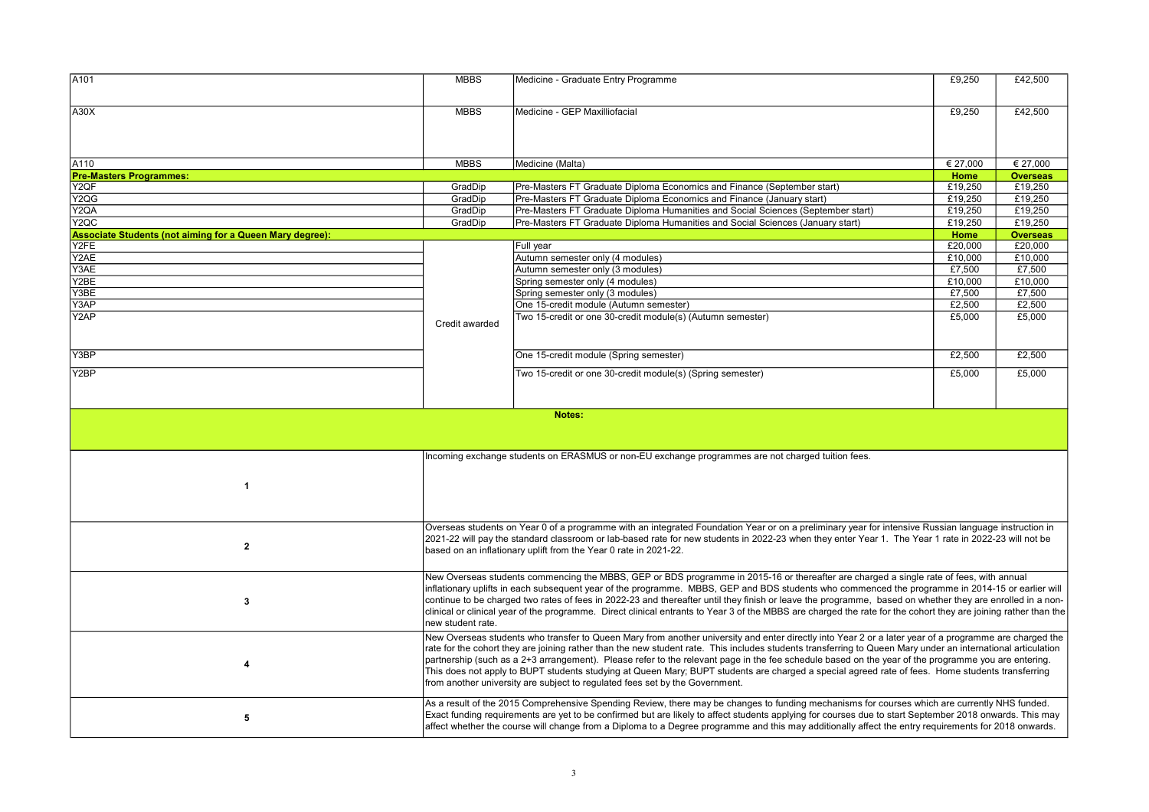| A101                                                            | <b>MBBS</b>       | Medicine - Graduate Entry Programme                                                                                                                                                                                                                                                                                 | £9,250   | £42,500         |
|-----------------------------------------------------------------|-------------------|---------------------------------------------------------------------------------------------------------------------------------------------------------------------------------------------------------------------------------------------------------------------------------------------------------------------|----------|-----------------|
|                                                                 |                   |                                                                                                                                                                                                                                                                                                                     |          |                 |
| A30X                                                            | <b>MBBS</b>       | Medicine - GEP Maxilliofacial                                                                                                                                                                                                                                                                                       | £9,250   | £42,500         |
|                                                                 |                   |                                                                                                                                                                                                                                                                                                                     |          |                 |
|                                                                 |                   |                                                                                                                                                                                                                                                                                                                     |          |                 |
|                                                                 |                   |                                                                                                                                                                                                                                                                                                                     |          |                 |
| A110                                                            | <b>MBBS</b>       | Medicine (Malta)                                                                                                                                                                                                                                                                                                    | € 27,000 | € 27,000        |
| <b>Pre-Masters Programmes:</b>                                  |                   |                                                                                                                                                                                                                                                                                                                     | Home     | <b>Overseas</b> |
| Y2QF                                                            | GradDip           | Pre-Masters FT Graduate Diploma Economics and Finance (September start)                                                                                                                                                                                                                                             | £19,250  | £19,250         |
| Y2QG                                                            | GradDip           | Pre-Masters FT Graduate Diploma Economics and Finance (January start)                                                                                                                                                                                                                                               | £19,250  | £19,250         |
| Y2QA                                                            | GradDip           | Pre-Masters FT Graduate Diploma Humanities and Social Sciences (September start)                                                                                                                                                                                                                                    | £19,250  | £19,250         |
| Y <sub>2</sub> QC                                               | GradDip           | Pre-Masters FT Graduate Diploma Humanities and Social Sciences (January start)                                                                                                                                                                                                                                      | £19,250  | £19,250         |
| <b>Associate Students (not aiming for a Queen Mary degree):</b> |                   |                                                                                                                                                                                                                                                                                                                     | Home     | <b>Overseas</b> |
| Y2FE                                                            |                   | Full year                                                                                                                                                                                                                                                                                                           | £20,000  | £20,000         |
| Y2AE                                                            |                   | Autumn semester only (4 modules)                                                                                                                                                                                                                                                                                    | £10,000  | £10,000         |
| Y3AE                                                            |                   | Autumn semester only (3 modules)                                                                                                                                                                                                                                                                                    | £7,500   | £7,500          |
| Y2BE                                                            |                   | Spring semester only (4 modules)                                                                                                                                                                                                                                                                                    | £10,000  | £10,000         |
| Y3BE                                                            |                   | Spring semester only (3 modules)                                                                                                                                                                                                                                                                                    | £7,500   | £7,500          |
| Y3AP                                                            |                   | One 15-credit module (Autumn semester)                                                                                                                                                                                                                                                                              | £2,500   | £2,500          |
| Y2AP                                                            |                   | Two 15-credit or one 30-credit module(s) (Autumn semester)                                                                                                                                                                                                                                                          | £5,000   | £5,000          |
|                                                                 | Credit awarded    |                                                                                                                                                                                                                                                                                                                     |          |                 |
|                                                                 |                   |                                                                                                                                                                                                                                                                                                                     |          |                 |
| Y3BP                                                            |                   | One 15-credit module (Spring semester)                                                                                                                                                                                                                                                                              | £2,500   | £2,500          |
| Y2BP                                                            |                   | Two 15-credit or one 30-credit module(s) (Spring semester)                                                                                                                                                                                                                                                          | £5,000   | £5,000          |
|                                                                 |                   |                                                                                                                                                                                                                                                                                                                     |          |                 |
|                                                                 |                   |                                                                                                                                                                                                                                                                                                                     |          |                 |
|                                                                 |                   |                                                                                                                                                                                                                                                                                                                     |          |                 |
|                                                                 |                   |                                                                                                                                                                                                                                                                                                                     |          |                 |
|                                                                 |                   | Notes:                                                                                                                                                                                                                                                                                                              |          |                 |
|                                                                 |                   |                                                                                                                                                                                                                                                                                                                     |          |                 |
|                                                                 |                   |                                                                                                                                                                                                                                                                                                                     |          |                 |
|                                                                 |                   | Incoming exchange students on ERASMUS or non-EU exchange programmes are not charged tuition fees.                                                                                                                                                                                                                   |          |                 |
|                                                                 |                   |                                                                                                                                                                                                                                                                                                                     |          |                 |
|                                                                 |                   |                                                                                                                                                                                                                                                                                                                     |          |                 |
| $\overline{\mathbf{1}}$                                         |                   |                                                                                                                                                                                                                                                                                                                     |          |                 |
|                                                                 |                   |                                                                                                                                                                                                                                                                                                                     |          |                 |
|                                                                 |                   |                                                                                                                                                                                                                                                                                                                     |          |                 |
|                                                                 |                   | Overseas students on Year 0 of a programme with an integrated Foundation Year or on a preliminary year for intensive Russian language instruction in                                                                                                                                                                |          |                 |
|                                                                 |                   | 2021-22 will pay the standard classroom or lab-based rate for new students in 2022-23 when they enter Year 1. The Year 1 rate in 2022-23 will not be                                                                                                                                                                |          |                 |
| $\mathbf{2}$                                                    |                   | based on an inflationary uplift from the Year 0 rate in 2021-22.                                                                                                                                                                                                                                                    |          |                 |
|                                                                 |                   |                                                                                                                                                                                                                                                                                                                     |          |                 |
|                                                                 |                   | New Overseas students commencing the MBBS, GEP or BDS programme in 2015-16 or thereafter are charged a single rate of fees, with annual                                                                                                                                                                             |          |                 |
|                                                                 |                   | inflationary uplifts in each subsequent year of the programme. MBBS, GEP and BDS students who commenced the programme in 2014-15 or earlier will                                                                                                                                                                    |          |                 |
|                                                                 |                   | continue to be charged two rates of fees in 2022-23 and thereafter until they finish or leave the programme, based on whether they are enrolled in a non-                                                                                                                                                           |          |                 |
| 3                                                               |                   | clinical or clinical year of the programme. Direct clinical entrants to Year 3 of the MBBS are charged the rate for the cohort they are joining rather than the                                                                                                                                                     |          |                 |
|                                                                 | new student rate. |                                                                                                                                                                                                                                                                                                                     |          |                 |
|                                                                 |                   | New Overseas students who transfer to Queen Mary from another university and enter directly into Year 2 or a later year of a programme are charged the                                                                                                                                                              |          |                 |
|                                                                 |                   |                                                                                                                                                                                                                                                                                                                     |          |                 |
|                                                                 |                   | rate for the cohort they are joining rather than the new student rate. This includes students transferring to Queen Mary under an international articulation<br>partnership (such as a 2+3 arrangement). Please refer to the relevant page in the fee schedule based on the year of the programme you are entering. |          |                 |
| $\overline{\mathbf{4}}$                                         |                   | This does not apply to BUPT students studying at Queen Mary; BUPT students are charged a special agreed rate of fees. Home students transferring                                                                                                                                                                    |          |                 |
|                                                                 |                   | from another university are subject to regulated fees set by the Government.                                                                                                                                                                                                                                        |          |                 |
|                                                                 |                   |                                                                                                                                                                                                                                                                                                                     |          |                 |
|                                                                 |                   | As a result of the 2015 Comprehensive Spending Review, there may be changes to funding mechanisms for courses which are currently NHS funded.                                                                                                                                                                       |          |                 |
| 5                                                               |                   | Exact funding requirements are yet to be confirmed but are likely to affect students applying for courses due to start September 2018 onwards. This may<br>affect whether the course will change from a Diploma to a Degree programme and this may additionally affect the entry requirements for 2018 onwards.     |          |                 |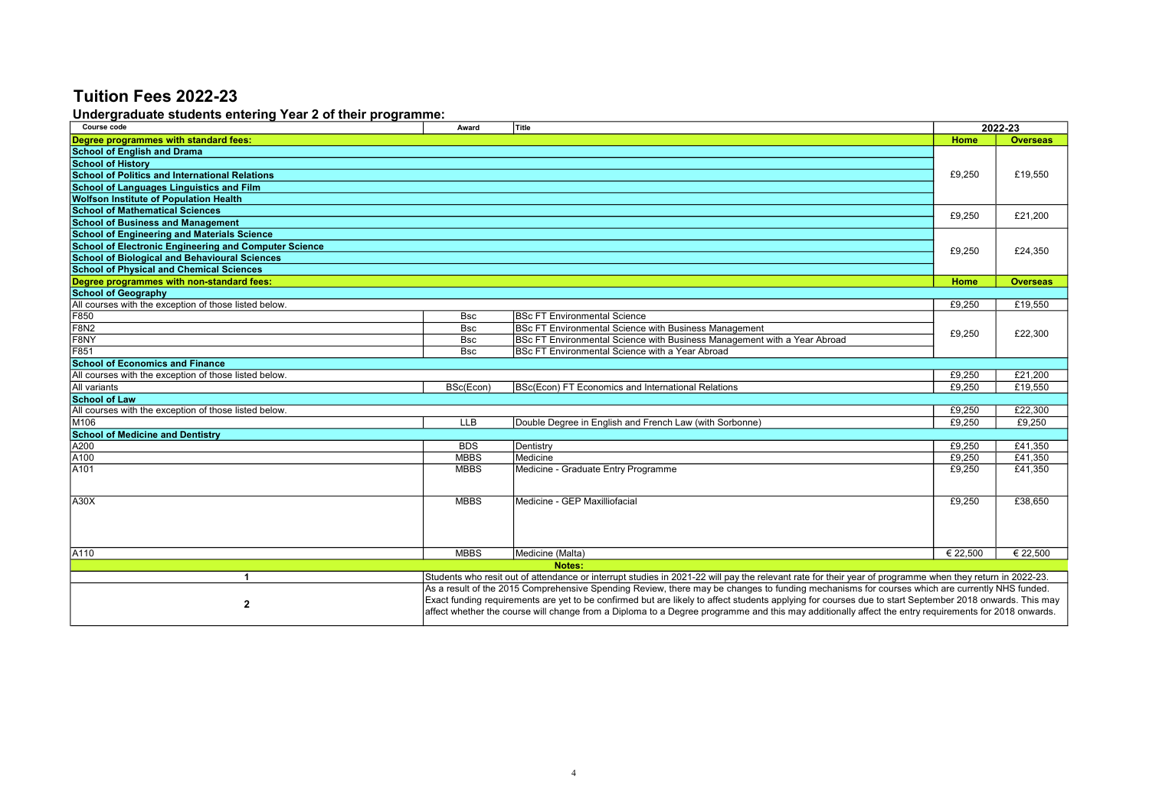#### Undergraduate students entering Year 2 of their programme:

| Course code                                                                                                                                                              | Award       | Title                                                                                                                                                   |          | 2022-23         |
|--------------------------------------------------------------------------------------------------------------------------------------------------------------------------|-------------|---------------------------------------------------------------------------------------------------------------------------------------------------------|----------|-----------------|
| Degree programmes with standard fees:                                                                                                                                    |             |                                                                                                                                                         | Home     | <b>Overseas</b> |
| <b>School of English and Drama</b>                                                                                                                                       |             |                                                                                                                                                         |          |                 |
| <b>School of History</b>                                                                                                                                                 |             |                                                                                                                                                         |          |                 |
| <b>School of Politics and International Relations</b>                                                                                                                    |             |                                                                                                                                                         | £9,250   | £19,550         |
| <b>School of Languages Linguistics and Film</b>                                                                                                                          |             |                                                                                                                                                         |          |                 |
| <b>Wolfson Institute of Population Health</b>                                                                                                                            |             |                                                                                                                                                         |          |                 |
| <b>School of Mathematical Sciences</b>                                                                                                                                   |             |                                                                                                                                                         | £9,250   | £21,200         |
| <b>School of Business and Management</b>                                                                                                                                 |             |                                                                                                                                                         |          |                 |
| <b>School of Engineering and Materials Science</b>                                                                                                                       |             |                                                                                                                                                         |          |                 |
| <b>School of Electronic Engineering and Computer Science</b>                                                                                                             |             |                                                                                                                                                         | £9,250   | £24,350         |
| <b>School of Biological and Behavioural Sciences</b>                                                                                                                     |             |                                                                                                                                                         |          |                 |
| <b>School of Physical and Chemical Sciences</b>                                                                                                                          |             |                                                                                                                                                         |          |                 |
| Degree programmes with non-standard fees:                                                                                                                                |             |                                                                                                                                                         | Home     | <b>Overseas</b> |
| <b>School of Geography</b>                                                                                                                                               |             |                                                                                                                                                         |          |                 |
| All courses with the exception of those listed below.                                                                                                                    |             |                                                                                                                                                         | £9.250   | £19.550         |
| F850                                                                                                                                                                     | <b>Bsc</b>  | <b>IBSc FT Environmental Science</b>                                                                                                                    |          |                 |
| <b>F8N2</b>                                                                                                                                                              | <b>Bsc</b>  | <b>BSc FT Environmental Science with Business Management</b>                                                                                            | £9,250   | £22.300         |
| F8NY                                                                                                                                                                     | <b>Bsc</b>  | BSc FT Environmental Science with Business Management with a Year Abroad                                                                                |          |                 |
| F851                                                                                                                                                                     | <b>Bsc</b>  | BSc FT Environmental Science with a Year Abroad                                                                                                         |          |                 |
| <b>School of Economics and Finance</b>                                                                                                                                   |             |                                                                                                                                                         |          |                 |
| All courses with the exception of those listed below.                                                                                                                    |             |                                                                                                                                                         | £9.250   | £21.200         |
| All variants                                                                                                                                                             | BSc(Econ)   | BSc(Econ) FT Economics and International Relations                                                                                                      | £9,250   | £19,550         |
| <b>School of Law</b>                                                                                                                                                     |             |                                                                                                                                                         |          |                 |
| All courses with the exception of those listed below.                                                                                                                    |             |                                                                                                                                                         | £9,250   | £22,300         |
| M106                                                                                                                                                                     | <b>LLB</b>  | Double Degree in English and French Law (with Sorbonne)                                                                                                 | £9.250   | £9.250          |
| <b>School of Medicine and Dentistry</b>                                                                                                                                  |             |                                                                                                                                                         |          |                 |
| A200                                                                                                                                                                     | <b>BDS</b>  | Dentistry                                                                                                                                               | £9,250   | £41,350         |
| A <sub>100</sub>                                                                                                                                                         | <b>MBBS</b> | Medicine                                                                                                                                                | £9,250   | £41,350         |
| A <sub>101</sub>                                                                                                                                                         | <b>MBBS</b> | Medicine - Graduate Entry Programme                                                                                                                     | £9,250   | £41,350         |
|                                                                                                                                                                          |             |                                                                                                                                                         |          |                 |
|                                                                                                                                                                          |             |                                                                                                                                                         |          |                 |
| A30X                                                                                                                                                                     | <b>MBBS</b> | Medicine - GEP Maxilliofacial                                                                                                                           | £9,250   | £38.650         |
|                                                                                                                                                                          |             |                                                                                                                                                         |          |                 |
|                                                                                                                                                                          |             |                                                                                                                                                         |          |                 |
|                                                                                                                                                                          |             |                                                                                                                                                         |          |                 |
| A110                                                                                                                                                                     | <b>MBBS</b> | Medicine (Malta)                                                                                                                                        | € 22.500 | € 22.500        |
|                                                                                                                                                                          |             | Notes:                                                                                                                                                  |          |                 |
| Students who resit out of attendance or interrupt studies in 2021-22 will pay the relevant rate for their year of programme when they return in 2022-23.<br>$\mathbf{1}$ |             |                                                                                                                                                         |          |                 |
|                                                                                                                                                                          |             | As a result of the 2015 Comprehensive Spending Review, there may be changes to funding mechanisms for courses which are currently NHS funded.           |          |                 |
| $\mathbf{2}$                                                                                                                                                             |             | Exact funding requirements are yet to be confirmed but are likely to affect students applying for courses due to start September 2018 onwards. This may |          |                 |
|                                                                                                                                                                          |             | affect whether the course will change from a Diploma to a Degree programme and this may additionally affect the entry requirements for 2018 onwards.    |          |                 |
|                                                                                                                                                                          |             |                                                                                                                                                         |          |                 |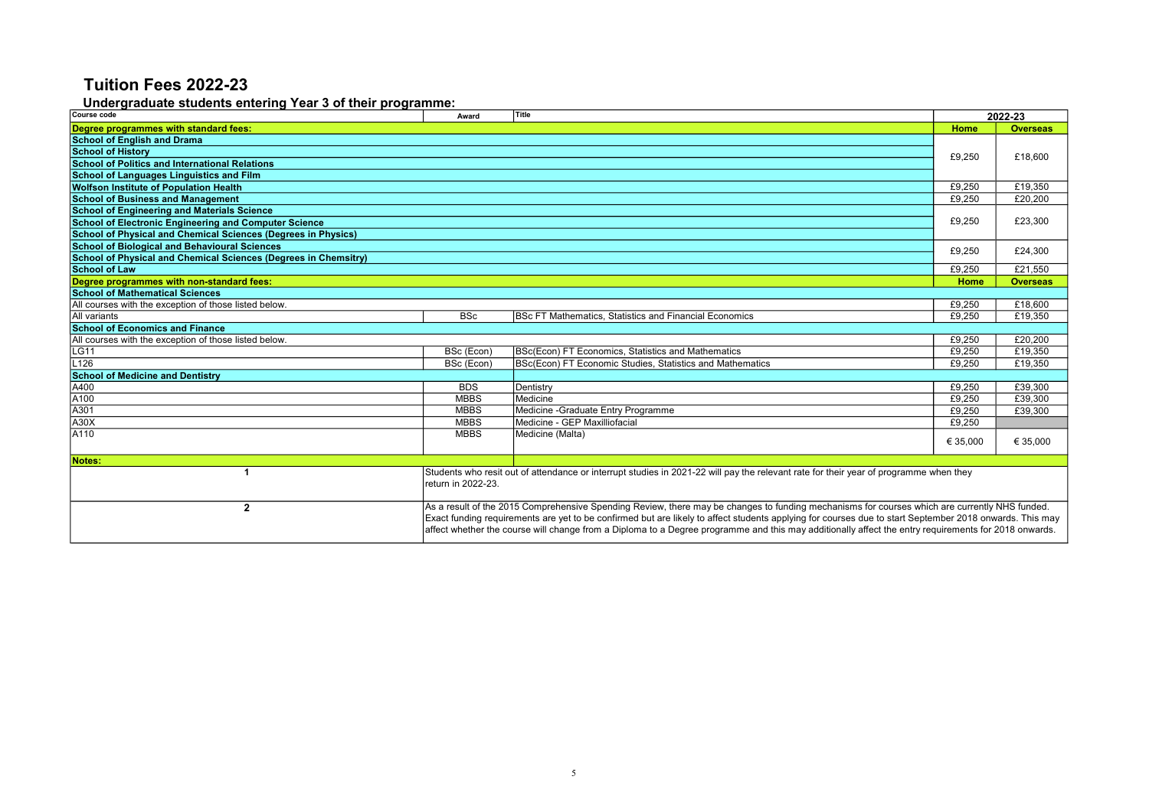#### Undergraduate students entering Year 3 of their programme:

| Course code                                                     | Award              | Title                                                                                                                                                                                                                                                                                                                                                                                                                                                            |          | 2022-23         |
|-----------------------------------------------------------------|--------------------|------------------------------------------------------------------------------------------------------------------------------------------------------------------------------------------------------------------------------------------------------------------------------------------------------------------------------------------------------------------------------------------------------------------------------------------------------------------|----------|-----------------|
| Degree programmes with standard fees:                           |                    |                                                                                                                                                                                                                                                                                                                                                                                                                                                                  | Home     | <b>Overseas</b> |
| <b>School of English and Drama</b>                              |                    |                                                                                                                                                                                                                                                                                                                                                                                                                                                                  |          |                 |
| <b>School of History</b>                                        |                    |                                                                                                                                                                                                                                                                                                                                                                                                                                                                  | £9,250   | £18,600         |
| <b>School of Politics and International Relations</b>           |                    |                                                                                                                                                                                                                                                                                                                                                                                                                                                                  |          |                 |
| <b>School of Languages Linguistics and Film</b>                 |                    |                                                                                                                                                                                                                                                                                                                                                                                                                                                                  |          |                 |
| <b>Wolfson Institute of Population Health</b>                   |                    |                                                                                                                                                                                                                                                                                                                                                                                                                                                                  | £9,250   | £19,350         |
| <b>School of Business and Management</b>                        |                    |                                                                                                                                                                                                                                                                                                                                                                                                                                                                  | £9,250   | £20,200         |
| <b>School of Engineering and Materials Science</b>              |                    |                                                                                                                                                                                                                                                                                                                                                                                                                                                                  |          |                 |
| <b>School of Electronic Engineering and Computer Science</b>    |                    |                                                                                                                                                                                                                                                                                                                                                                                                                                                                  | £9,250   | £23,300         |
| School of Physical and Chemical Sciences (Degrees in Physics)   |                    |                                                                                                                                                                                                                                                                                                                                                                                                                                                                  |          |                 |
| <b>School of Biological and Behavioural Sciences</b>            |                    |                                                                                                                                                                                                                                                                                                                                                                                                                                                                  | £9,250   | £24,300         |
| School of Physical and Chemical Sciences (Degrees in Chemsitry) |                    |                                                                                                                                                                                                                                                                                                                                                                                                                                                                  |          |                 |
| <b>School of Law</b>                                            |                    |                                                                                                                                                                                                                                                                                                                                                                                                                                                                  | £9.250   | £21.550         |
| Degree programmes with non-standard fees:                       |                    |                                                                                                                                                                                                                                                                                                                                                                                                                                                                  | Home     | <b>Overseas</b> |
| <b>School of Mathematical Sciences</b>                          |                    |                                                                                                                                                                                                                                                                                                                                                                                                                                                                  |          |                 |
| All courses with the exception of those listed below.           |                    |                                                                                                                                                                                                                                                                                                                                                                                                                                                                  | £9,250   | £18,600         |
| All variants                                                    | <b>BSc</b>         | BSc FT Mathematics, Statistics and Financial Economics                                                                                                                                                                                                                                                                                                                                                                                                           | £9,250   | £19,350         |
| <b>School of Economics and Finance</b>                          |                    |                                                                                                                                                                                                                                                                                                                                                                                                                                                                  |          |                 |
| All courses with the exception of those listed below.           |                    |                                                                                                                                                                                                                                                                                                                                                                                                                                                                  | £9.250   | £20,200         |
| <b>LG11</b>                                                     | BSc (Econ)         | BSc(Econ) FT Economics, Statistics and Mathematics                                                                                                                                                                                                                                                                                                                                                                                                               | £9,250   | £19,350         |
| L126                                                            | BSc (Econ)         | BSc(Econ) FT Economic Studies, Statistics and Mathematics                                                                                                                                                                                                                                                                                                                                                                                                        | £9.250   | £19,350         |
| <b>School of Medicine and Dentistry</b>                         |                    |                                                                                                                                                                                                                                                                                                                                                                                                                                                                  |          |                 |
| A400                                                            | <b>BDS</b>         | Dentistry                                                                                                                                                                                                                                                                                                                                                                                                                                                        | £9,250   | £39,300         |
| A <sub>100</sub>                                                | <b>MBBS</b>        | Medicine                                                                                                                                                                                                                                                                                                                                                                                                                                                         | £9.250   | £39.300         |
| A301                                                            | <b>MBBS</b>        | Medicine - Graduate Entry Programme                                                                                                                                                                                                                                                                                                                                                                                                                              | £9,250   | £39,300         |
| A30X                                                            | <b>MBBS</b>        | Medicine - GEP Maxilliofacial                                                                                                                                                                                                                                                                                                                                                                                                                                    | £9,250   |                 |
| A110                                                            | <b>MBBS</b>        | Medicine (Malta)                                                                                                                                                                                                                                                                                                                                                                                                                                                 | € 35,000 | € 35,000        |
| Notes:                                                          |                    |                                                                                                                                                                                                                                                                                                                                                                                                                                                                  |          |                 |
| -1                                                              | return in 2022-23. | Students who resit out of attendance or interrupt studies in 2021-22 will pay the relevant rate for their year of programme when they                                                                                                                                                                                                                                                                                                                            |          |                 |
| $\mathbf{2}$                                                    |                    | As a result of the 2015 Comprehensive Spending Review, there may be changes to funding mechanisms for courses which are currently NHS funded.<br>Exact funding requirements are yet to be confirmed but are likely to affect students applying for courses due to start September 2018 onwards. This may<br>affect whether the course will change from a Diploma to a Degree programme and this may additionally affect the entry requirements for 2018 onwards. |          |                 |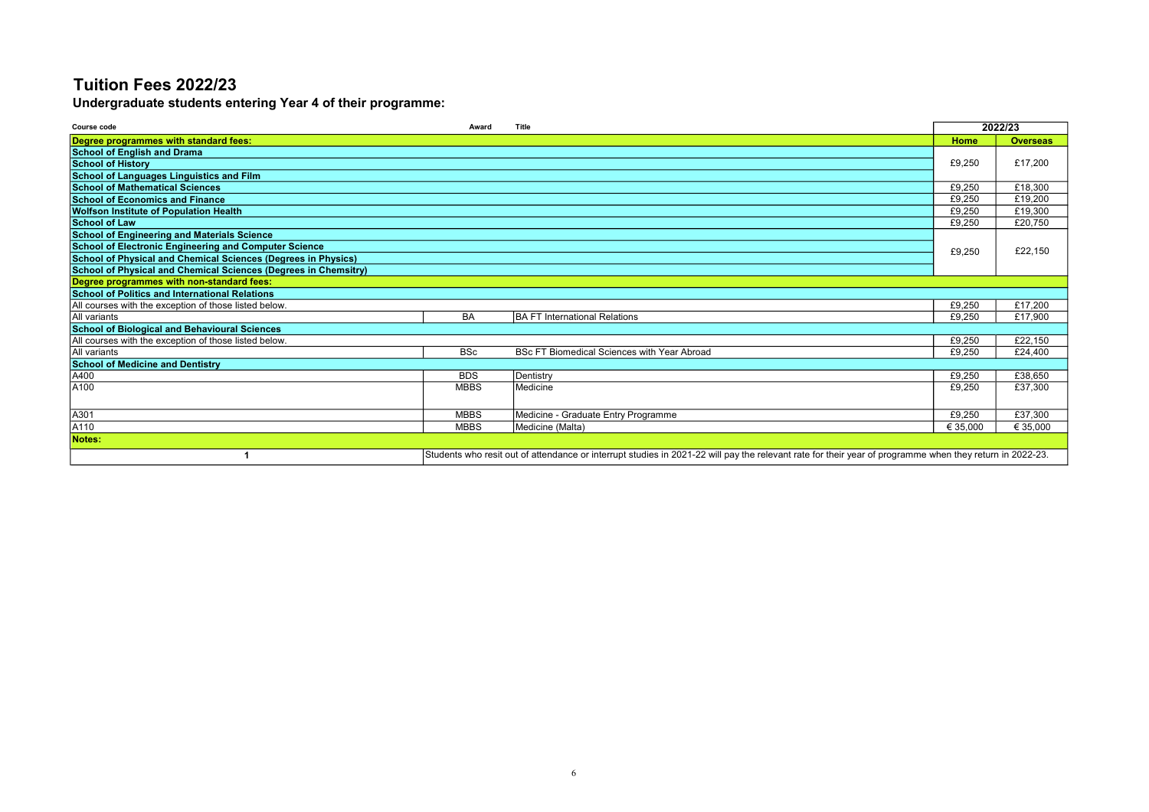Undergraduate students entering Year 4 of their programme:

| <b>Course code</b>                                              | Award       | Title                                                                                                                                                    |          | 2022/23         |
|-----------------------------------------------------------------|-------------|----------------------------------------------------------------------------------------------------------------------------------------------------------|----------|-----------------|
| Degree programmes with standard fees:                           |             |                                                                                                                                                          | Home     | <b>Overseas</b> |
| <b>School of English and Drama</b>                              |             |                                                                                                                                                          |          |                 |
| <b>School of History</b>                                        |             |                                                                                                                                                          | £9,250   | £17.200         |
| School of Languages Linguistics and Film                        |             |                                                                                                                                                          |          |                 |
| <b>School of Mathematical Sciences</b>                          |             |                                                                                                                                                          | £9.250   | £18,300         |
| <b>School of Economics and Finance</b>                          |             |                                                                                                                                                          | £9.250   | £19,200         |
| <b>Wolfson Institute of Population Health</b>                   |             |                                                                                                                                                          | £9,250   | £19,300         |
| <b>School of Law</b>                                            |             |                                                                                                                                                          | £9,250   | £20,750         |
| <b>School of Engineering and Materials Science</b>              |             |                                                                                                                                                          |          |                 |
| <b>School of Electronic Engineering and Computer Science</b>    |             |                                                                                                                                                          | £9,250   | £22,150         |
| School of Physical and Chemical Sciences (Degrees in Physics)   |             |                                                                                                                                                          |          |                 |
| School of Physical and Chemical Sciences (Degrees in Chemsitry) |             |                                                                                                                                                          |          |                 |
| Degree programmes with non-standard fees:                       |             |                                                                                                                                                          |          |                 |
| <b>School of Politics and International Relations</b>           |             |                                                                                                                                                          |          |                 |
| All courses with the exception of those listed below.           |             |                                                                                                                                                          | £9.250   | £17,200         |
| All variants                                                    | <b>BA</b>   | <b>BA FT International Relations</b>                                                                                                                     | £9.250   | £17.900         |
| <b>School of Biological and Behavioural Sciences</b>            |             |                                                                                                                                                          |          |                 |
| All courses with the exception of those listed below.           |             |                                                                                                                                                          | £9,250   | £22,150         |
| All variants                                                    | <b>BSc</b>  | <b>BSc FT Biomedical Sciences with Year Abroad</b>                                                                                                       | £9.250   | £24,400         |
| <b>School of Medicine and Dentistry</b>                         |             |                                                                                                                                                          |          |                 |
| A400                                                            | <b>BDS</b>  | Dentistry                                                                                                                                                | £9.250   | £38,650         |
| A100                                                            | <b>MBBS</b> | Medicine                                                                                                                                                 | £9,250   | £37,300         |
|                                                                 |             |                                                                                                                                                          |          |                 |
| A301                                                            | <b>MBBS</b> | Medicine - Graduate Entry Programme                                                                                                                      | £9,250   | £37,300         |
| A110                                                            | <b>MBBS</b> | Medicine (Malta)                                                                                                                                         | € 35,000 | € 35,000        |
| Notes:                                                          |             |                                                                                                                                                          |          |                 |
|                                                                 |             | Students who resit out of attendance or interrupt studies in 2021-22 will pay the relevant rate for their year of programme when they return in 2022-23. |          |                 |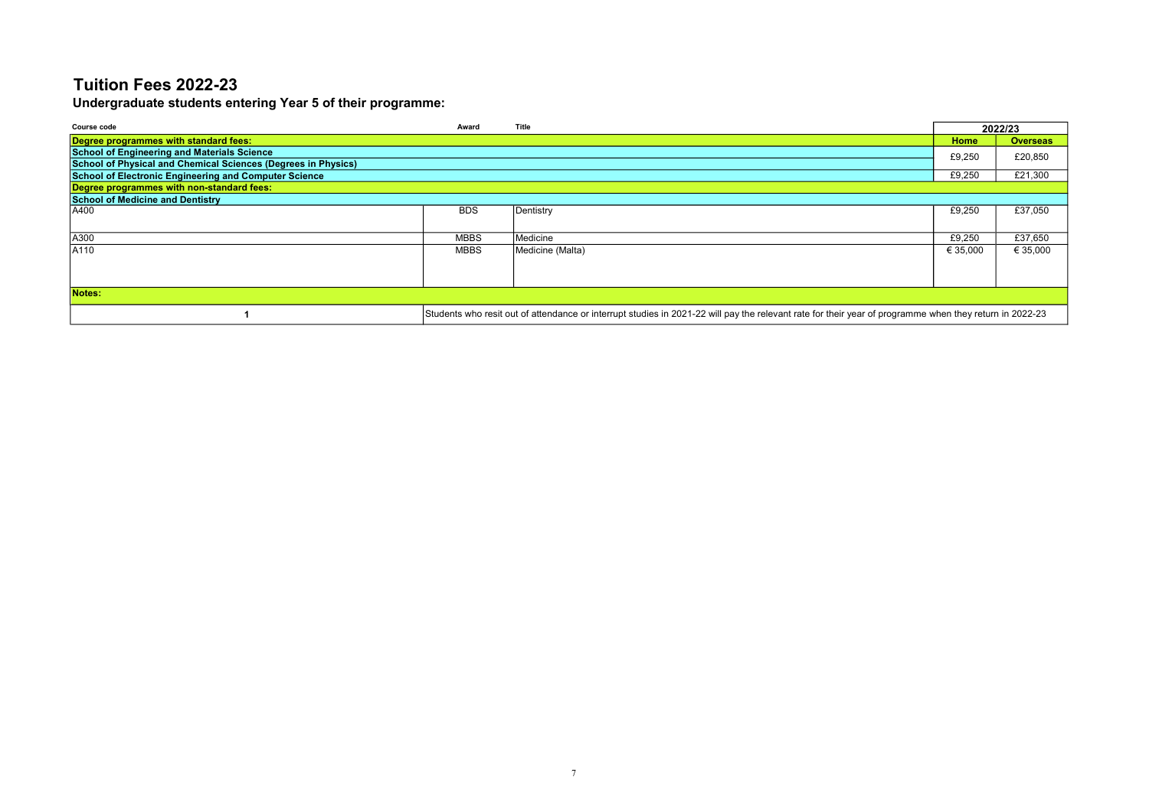Undergraduate students entering Year 5 of their programme:

| Course code                                                   | Award       | Title                                                                                                                                                   |          | 2022/23         |
|---------------------------------------------------------------|-------------|---------------------------------------------------------------------------------------------------------------------------------------------------------|----------|-----------------|
| Degree programmes with standard fees:                         |             |                                                                                                                                                         | Home     | <b>Overseas</b> |
| <b>School of Engineering and Materials Science</b>            |             |                                                                                                                                                         | £9,250   | £20,850         |
| School of Physical and Chemical Sciences (Degrees in Physics) |             |                                                                                                                                                         |          |                 |
| School of Electronic Engineering and Computer Science         |             |                                                                                                                                                         | £9,250   | £21,300         |
| Degree programmes with non-standard fees:                     |             |                                                                                                                                                         |          |                 |
| <b>School of Medicine and Dentistry</b>                       |             |                                                                                                                                                         |          |                 |
| A400                                                          | <b>BDS</b>  | Dentistry                                                                                                                                               | £9,250   | £37,050         |
|                                                               |             |                                                                                                                                                         |          |                 |
| A300                                                          | <b>MBBS</b> | Medicine                                                                                                                                                | £9,250   | £37,650         |
| A110                                                          | MBBS        | Medicine (Malta)                                                                                                                                        | € 35,000 | € 35,000        |
|                                                               |             |                                                                                                                                                         |          |                 |
|                                                               |             |                                                                                                                                                         |          |                 |
|                                                               |             |                                                                                                                                                         |          |                 |
| Notes:                                                        |             |                                                                                                                                                         |          |                 |
|                                                               |             | Students who resit out of attendance or interrupt studies in 2021-22 will pay the relevant rate for their year of programme when they return in 2022-23 |          |                 |